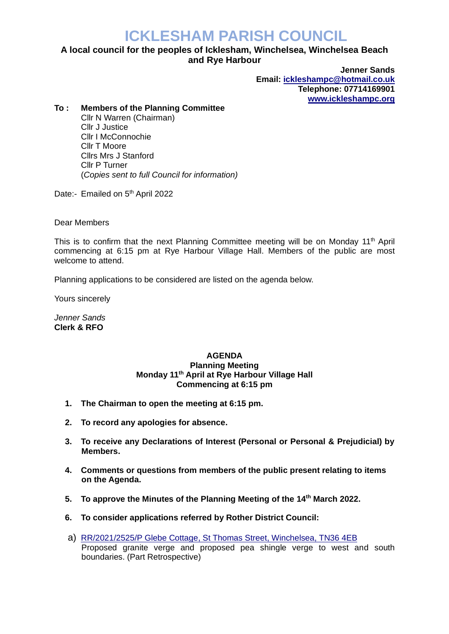## **ICKLESHAM PARISH COUNCIL**

## **A local council for the peoples of Icklesham, Winchelsea, Winchelsea Beach and Rye Harbour**

**Jenner Sands Email: [ickleshampc@hotmail.co.uk](mailto:ickleshampc@hotmail.co.uk) Telephone: 07714169901 [www.ickleshampc.org](http://www.ickleshampc.org/)**

## **To : Members of the Planning Committee**

Cllr N Warren (Chairman) Cllr J Justice Cllr I McConnochie Cllr T Moore Cllrs Mrs J Stanford Cllr P Turner (*Copies sent to full Council for information)*

Date:- Emailed on 5<sup>th</sup> April 2022

Dear Members

This is to confirm that the next Planning Committee meeting will be on Monday  $11<sup>th</sup>$  April commencing at 6:15 pm at Rye Harbour Village Hall. Members of the public are most welcome to attend.

Planning applications to be considered are listed on the agenda below.

Yours sincerely

*Jenner Sands* **Clerk & RFO**

## **AGENDA Planning Meeting Monday 11th April at Rye Harbour Village Hall Commencing at 6:15 pm**

- **1. The Chairman to open the meeting at 6:15 pm.**
- **2. To record any apologies for absence.**
- **3. To receive any Declarations of Interest (Personal or Personal & Prejudicial) by Members.**
- **4. Comments or questions from members of the public present relating to items on the Agenda.**
- **5. To approve the Minutes of the Planning Meeting of the 14th March 2022.**
- **6. To consider applications referred by Rother District Council:**
- a) RR/2021/2525/P [Glebe Cottage, St Thomas Street, Winchelsea,](http://planweb01.rother.gov.uk/OcellaWeb/planningDetails?reference=RR/2021/2525/P) TN36 4EB Proposed granite verge and proposed pea shingle verge to west and south boundaries. (Part Retrospective)